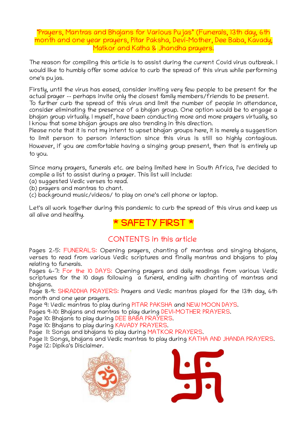"Prayers, Mantras and Bhajans for Various Pujas" (Funerals, 13th day, 6th month and one year prayers, Pitar Paksha, Devi-Mother, Dee Baba, Kavady, Matkor and Katha & Jhandha prayers.

The reason for compiling this article is to assist during the current Covid virus outbreak. I would like to humbly offer some advice to curb the spread of this virus while performing one's pujas.

Firstly, until the virus has eased, consider inviting very few people to be present for the actual prayer -- perhaps invite only the closest family members/friends to be present.

To further curb the spread of this virus and limit the number of people in attendance, consider eliminating the presence of a bhajan group. One option would be to engage a bhajan group virtually. I myself, have been conducting more and more prayers virtually, so I know that some bhajan groups are also trending in this direction.

Please note that it is not my intent to upset bhajan groups here, it is merely a suggestion to limit person to person interaction since this virus is still so highly contagious. However, if you are comfortable having a singing group present, then that is entirely up to you.

Since many prayers, funerals etc. are being limited here in South Africa, I've decided to compile a list to assist during a prayer. This list will include:

(a) suggested Vedic verses to read.

(b) prayers and mantras to chant.

(c) background music/videos/ to play on one's cell phone or laptop.

Let's all work together during this pandemic to curb the spread of this virus and keep us all alive and healthy.

<u>IY FIRS</u>

# CONTENTS in this article

Pages 2-5: FUNERALS: Opening prayers, chanting of mantras and singing bhajans, verses to read from various Vedic scriptures and finally mantras and bhajans to play relating to funerals.

Pages 6-7: For the 10 DAYS: Opening prayers and daily readings from various Vedic scriptures for the 10 days following a funeral, ending with chanting of mantras and bhajans.

Page 8-9: SHRADDHA PRAYERS: Prayers and Vedic mantras played for the 13th day, 6th month and one year prayers.

Page 9: Vedic mantras to play during PITAR PAKSHA and NEW MOON DAYS.

Pages 9-10: Bhajans and mantras to play during DEVI-MOTHER PRAYERS.

Page 10: Bhajans to play during DEE BABA PRAYERS.

Page 10: Bhajans to play during KAVADY PRAYERS.

Page 11: Songs and bhajans to play during MATKOR PRAYERS.

Page 11: Songs, bhajans and Vedic mantras to play during KATHA AND JHANDA PRAYERS. Page 12: Dipika's Disclaimer.



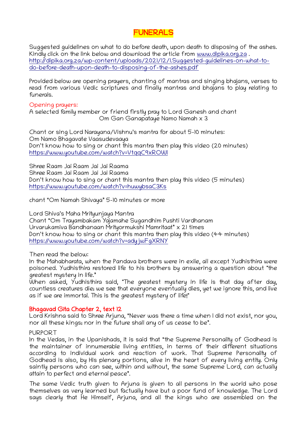# FUNERALS

Suggested guidelines on what to do before death, upon death to disposing of the ashes. Kindly click on the link below and download the article from [www.dipika.org.za](http://www.dipika.org.za/) . [http://dipika.org.za/wp-content/uploads/2021/12/1.Suggested-guidelines-on-what-to](http://dipika.org.za/wp-content/uploads/2021/12/1.Suggested-guidelines-on-what-to-do-before-death-upon-death-to-disposing-of-the-ashes.pdf)[do-before-death-upon-death-to-disposing-of-the-ashes.pdf](http://dipika.org.za/wp-content/uploads/2021/12/1.Suggested-guidelines-on-what-to-do-before-death-upon-death-to-disposing-of-the-ashes.pdf)

Provided below are opening prayers, chanting of mantras and singing bhajans, verses to read from various Vedic scriptures and finally mantras and bhajans to play relating to funerals.

#### Opening prayers:

A selected family member or friend firstly pray to Lord Ganesh and chant Om Gan Ganapataye Namo Namah x 3

Chant or sing Lord Narayana/Vishnu's mantra for about 5-10 minutes: Om Namo Bhagavate Vaasudevaaya Don't know how to sing or chant this mantra then play this video (20 minutes) <https://www.youtube.com/watch?v=VtqqC9xROWI>

Shree Raam Jai Raam Jai Jai Raama Shree Raam Jai Raam Jai Jai Raama Don't know how to sing or chant this mantra then play this video (5 minutes) <https://www.youtube.com/watch?v=huwybsaC3Ks>

chant "Om Namah Shivaya" 5-10 minutes or more

Lord Shiva's Maha Mrityunjaya Mantra Chant "Om Trayambakam Yajamahe Sugandhim Pushti Vardhanam Urvarukamiva Bandhanaan Mrityormukshi Mamritaat" x 21 times Don't know how to sing or chant this mantra then play this video (44 minutes) <https://www.youtube.com/watch?v=adyjwFgXRNY>

Then read the below:

In the Mahabharata, when the Pandava brothers were in exile, all except Yudhisthira were poisoned. Yudhisthira restored life to his brothers by answering a question about "the greatest mystery in life."

When asked, Yudhisthira said, "The greatest mystery in life is that day after day, countless creatures die; we see that everyone eventually dies, yet we ignore this, and live as if we are immortal. This is the greatest mystery of life!"

#### Bhagavad Gita Chapter 2, text 12

Lord Krishna said to Shree Arjuna, "Never was there a time when I did not exist, nor you, nor all these kings; nor in the future shall any of us cease to be".

#### PURPORT

In the Vedas, in the Upanishads, it is said that "the Supreme Personality of Godhead is the maintainer of innumerable living entities, in terms of their different situations according to individual work and reaction of work. That Supreme Personality of Godhead is also, by His plenary portions, alive in the heart of every living entity. Only saintly persons who can see, within and without, the same Supreme Lord, can actually attain to perfect and eternal peace".

The same Vedic truth given to Arjuna is given to all persons in the world who pose themselves as very learned but factually have but a poor fund of knowledge. The Lord says clearly that He Himself, Arjuna, and all the kings who are assembled on the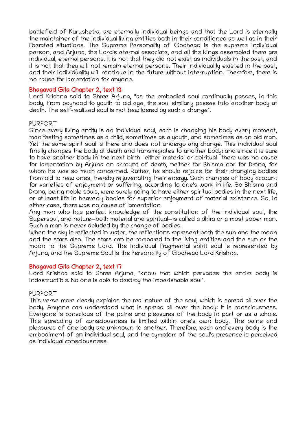battlefield of Kurushetra, are eternally individual beings and that the Lord is eternally the maintainer of the individual living entities both in their conditioned as well as in their liberated situations. The Supreme Personality of Godhead is the supreme individual person, and Arjuna, the Lord's eternal associate, and all the kings assembled there are individual, eternal persons. It is not that they did not exist as individuals in the past, and it is not that they will not remain eternal persons. Their individuality existed in the past, and their individuality will continue in the future without interruption. Therefore, there is no cause for lamentation for anyone.

#### Bhagavad Gita Chapter 2, text 13

Lord Krishna said to Shree Arjuna, "as the embodied soul continually passes, in this body, from boyhood to youth to old age, the soul similarly passes into another body at death. The self-realized soul is not bewildered by such a change".

#### PURPORT

Since every living entity is an individual soul, each is changing his body every moment, manifesting sometimes as a child, sometimes as a youth, and sometimes as an old man. Yet the same spirit soul is there and does not undergo any change. This individual soul finally changes the body at death and transmigrates to another body; and since it is sure to have another body in the next birth—either material or spiritual—there was no cause for lamentation by Arjuna on account of death, neither for Bhisma nor for Drona, for whom he was so much concerned. Rather, he should rejoice for their changing bodies from old to new ones, thereby rejuvenating their energy. Such changes of body account for varieties of enjoyment or suffering, according to one's work in life. So Bhisma and Drona, being noble souls, were surely going to have either spiritual bodies in the next life, or at least life in heavenly bodies for superior enjoyment of material existence. So, in either case, there was no cause of lamentation.

Any man who has perfect knowledge of the constitution of the individual soul, the Supersoul, and nature—both material and spiritual—is called a dhira or a most sober man. Such a man is never deluded by the change of bodies.

When the sky is reflected in water, the reflections represent both the sun and the moon and the stars also. The stars can be compared to the living entities and the sun or the moon to the Supreme Lord. The individual fragmental spirit soul is represented by Arjuna, and the Supreme Soul is the Personality of Godhead Lord Krishna.

#### Bhagavad Gita Chapter 2, text 17

Lord Krishna said to Shree Arjuna, "know that which pervades the entire body is indestructible. No one is able to destroy the imperishable soul".

#### PURPORT

This verse more clearly explains the real nature of the soul, which is spread all over the body. Anyone can understand what is spread all over the body: it is consciousness. Everyone is conscious of the pains and pleasures of the body in part or as a whole. This spreading of consciousness is limited within one's own body. The pains and pleasures of one body are unknown to another. Therefore, each and every body is the embodiment of an individual soul, and the symptom of the soul's presence is perceived as individual consciousness.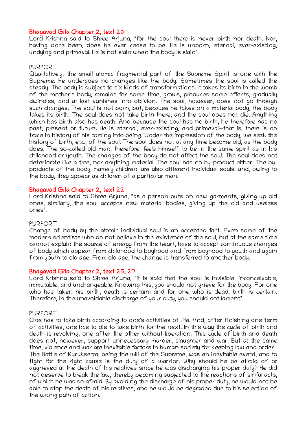#### Bhagavad Gita Chapter 2, text 20

Lord Krishna said to Shree Arjuna, "for the soul there is never birth nor death. Nor, having once been, does he ever cease to be. He is unborn, eternal, ever-existing, undying and primeval. He is not slain when the body is slain".

#### PURPORT

Qualitatively, the small atomic fragmental part of the Supreme Spirit is one with the Supreme. He undergoes no changes like the body. Sometimes the soul is called the steady. The body is subject to six kinds of transformations. It takes its birth in the womb of the mother's body, remains for some time, grows, produces some effects, gradually dwindles, and at last vanishes into oblivion. The soul, however, does not go through such changes. The soul is not born, but, because he takes on a material body, the body takes its birth. The soul does not take birth there, and the soul does not die. Anything which has birth also has death. And because the soul has no birth, he therefore has no past, present or future. He is eternal, ever-existing, and primeval—that is, there is no trace in history of his coming into being. Under the impression of the body, we seek the history of birth, etc., of the soul. The soul does not at any time become old, as the body does. The so-called old man, therefore, feels himself to be in the same spirit as in his childhood or youth. The changes of the body do not affect the soul. The soul does not deteriorate like a tree, nor anything material. The soul has no by-product either. The byproducts of the body, namely children, are also different individual souls; and, owing to the body, they appear as children of a particular man.

#### Bhagavad Gita Chapter 2, text 22

Lord Krishna said to Shree Arjuna, "as a person puts on new garments, giving up old ones, similarly, the soul accepts new material bodies, giving up the old and useless ones".

#### PURPORT

Change of body by the atomic individual soul is an accepted fact. Even some of the modern scientists who do not believe in the existence of the soul, but at the same time cannot explain the source of energy from the heart, have to accept continuous changes of body which appear from childhood to boyhood and from boyhood to youth and again from youth to old age. From old age, the change is transferred to another body.

#### Bhagavad Gita Chapter 2, text 25, 27

Lord Krishna said to Shree Arjuna, "it is said that the soul is invisible, inconceivable, immutable, and unchangeable. Knowing this, you should not grieve for the body. For one who has taken his birth, death is certain; and for one who is dead, birth is certain. Therefore, in the unavoidable discharge of your duty, you should not lament".

#### PURPORT

One has to take birth according to one's activities of life. And, after finishing one term of activities, one has to die to take birth for the next. In this way the cycle of birth and death is revolving, one after the other without liberation. This cycle of birth and death does not, however, support unnecessary murder, slaughter and war. But at the same time, violence and war are inevitable factors in human society for keeping law and order. The Battle of Kuruksetra, being the will of the Supreme, was an inevitable event, and to fight for the right cause is the duty of a warrior. Why should he be afraid of or aggrieved at the death of his relatives since he was discharging his proper duty? He did not deserve to break the law, thereby becoming subjected to the reactions of sinful acts, of which he was so afraid. By avoiding the discharge of his proper duty, he would not be able to stop the death of his relatives, and he would be degraded due to his selection of the wrong path of action.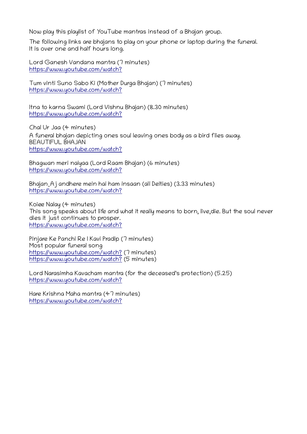Now play this playlist of YouTube mantras instead of a Bhajan group.

The following links are bhajans to play on your phone or laptop during the funeral. It is over one and half hours long.

Lord Ganesh Vandana mantra (7 minutes) [https://www.youtube.com/watch?](https://www.youtube.com/watch?v=dU6_g0sokMY)

Tum vinti Suno Sabo Ki (Mother Durga Bhajan) (7 minutes) [https://www.youtube.com/watch?](https://www.youtube.com/watch?v=lDmkB85eARE&list=PLJ5SPhmnOWIjS7U7vF8rf_q_2v3FM4mto&index=8)

Itna to karna Swami (Lord Vishnu Bhajan) (8.30 minutes) [https://www.youtube.com/watch?](https://www.youtube.com/watch?v=trfTABdsOQk&list=PLJ5SPhmnOWIjS7U7vF8rf_q_2v3FM4mto&index=7)

Chal Ur Jaa (4 minutes) A funeral bhajan depicting ones soul leaving ones body as a bird flies away. BEAUTIFUL BHAJAN [https://www.youtube.com/watch?](https://www.youtube.com/watch?v=JqKMULgIj0o&list=PLJ5SPhmnOWIjS7U7vF8rf_q_2v3FM4mto&index=3)

Bhagwan meri naiyaa (Lord Raam Bhajan) (6 minutes) [https://www.youtube.com/watch?](https://www.youtube.com/watch?v=MYT2mLhF3k0&list=PLJ5SPhmnOWIjS7U7vF8rf_q_2v3FM4mto&index=4)

Bhajan\_Aj andhere mein hai ham insaan (all Deities) (3.33 minutes) [https://www.youtube.com/watch?](https://www.youtube.com/watch?v=MYT2mLhF3k0&list=PLJ5SPhmnOWIjS7U7vF8rf_q_2v3FM4mto&index=4)

Koiee Nalay (4 minutes) This song speaks about life and what it really means to born, live,die. But the soul never dies it just continues to prosper. [https://www.youtube.com/watch?](https://www.youtube.com/watch?v=3xaCP_SLuy4)

Pinjare Ke Panchi Re I Kavi Pradip (7 minutes) Most popular funeral song [https://www.youtube.com/watch?](https://www.youtube.com/watch?v=Fc0IrT8nQwQ) (7 minutes) [https://www.youtube.com/watch?](https://www.youtube.com/watch?v=wuXmbAP8cpM) (5 minutes)

Lord Narasimha Kavacham mantra (for the deceased's protection) (5.25) [https://www.youtube.com/watch?](https://www.youtube.com/watch?v=qz5EJOP2164)

Hare Krishna Maha mantra (47 minutes) [https://www.youtube.com/watch?](https://www.youtube.com/watch?v=Zdcth9NndEA)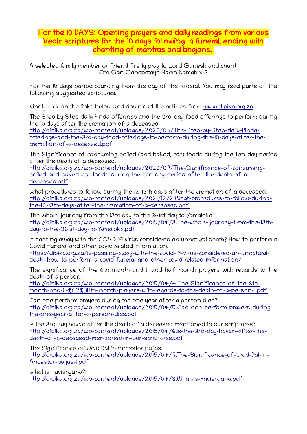### For the 10 DAYS: Opening prayers and daily readings from various Vedic scriptures for the 10 days following a funeral, ending with chanting of mantras and bhajans.

A selected family member or friend firstly pray to Lord Ganesh and chant Om Gan Ganapataye Namo Namah x 3

For the 10 days period counting from the day of the funeral. You may read parts of the following suggested scriptures.

Kindly click on the links below and download the articles from [www.dipika.org.za](http://www.dipika.org.za/) .

The Step by Step daily Pinda offerings and the 3rd-day food offerings to perform during the 10 days after the cremation of a deceased.

[http://dipika.org.za/wp-content/uploads/2020/05/The-Step-by-Step-daily-Pinda](http://dipika.org.za/wp-content/uploads/2020/05/The-Step-by-Step-daily-Pinda-offerings-and-the-3rd-day-food-offerings-to-perform-during-the-10-days-after-the-cremation-of-a-deceased.pdf)[offerings-and-the-3rd-day-food-offerings-to-perform-during-the-10-days-after-the](http://dipika.org.za/wp-content/uploads/2020/05/The-Step-by-Step-daily-Pinda-offerings-and-the-3rd-day-food-offerings-to-perform-during-the-10-days-after-the-cremation-of-a-deceased.pdf)[cremation-of-a-deceased.pdf](http://dipika.org.za/wp-content/uploads/2020/05/The-Step-by-Step-daily-Pinda-offerings-and-the-3rd-day-food-offerings-to-perform-during-the-10-days-after-the-cremation-of-a-deceased.pdf)

The Significance of consuming boiled (and baked, etc) foods during the ten-day period after the death of a deceased.

[http://dipika.org.za/wp-content/uploads/2020/07/The-Significance-of-consuming](http://dipika.org.za/wp-content/uploads/2020/07/The-Significance-of-consuming-boiled-and-baked-etc-foods-during-the-ten-day-period-after-the-death-of-a-deceased.pdf)[boiled-and-baked-etc-foods-during-the-ten-day-period-after-the-death-of-a](http://dipika.org.za/wp-content/uploads/2020/07/The-Significance-of-consuming-boiled-and-baked-etc-foods-during-the-ten-day-period-after-the-death-of-a-deceased.pdf)[deceased.pdf](http://dipika.org.za/wp-content/uploads/2020/07/The-Significance-of-consuming-boiled-and-baked-etc-foods-during-the-ten-day-period-after-the-death-of-a-deceased.pdf)

What procedures to follow during the 12-13th days after the cremation of a deceased. [http://dipika.org.za/wp-content/uploads/2021/12/2.What-procedures-to-follow-during](http://dipika.org.za/wp-content/uploads/2021/12/2.What-procedures-to-follow-during-the-12-13th-days-after-the-cremation-of-a-deceased.pdf)[the-12-13th-days-after-the-cremation-of-a-deceased.pdf](http://dipika.org.za/wp-content/uploads/2021/12/2.What-procedures-to-follow-during-the-12-13th-days-after-the-cremation-of-a-deceased.pdf)

The whole journey from the 13th day to the 361st day to Yamaloka. [http://dipika.org.za/wp-content/uploads/2015/04/3.The-whole-journey-from-the-13th](http://dipika.org.za/wp-content/uploads/2015/04/3.The-whole-journey-from-the-13th-day-to-the-361st-day-to-Yamaloka.pdf)[day-to-the-361st-day-to-Yamaloka.pdf](http://dipika.org.za/wp-content/uploads/2015/04/3.The-whole-journey-from-the-13th-day-to-the-361st-day-to-Yamaloka.pdf)

Is passing away with the COVID-19 virus considered an unnatural death? How to perform a Covid Funeral and other covid related information.

[https://dipika.org.za/is-passing-away-with-the-covid-19-virus-considered-an-unnatural](https://dipika.org.za/is-passing-away-with-the-covid-19-virus-considered-an-unnatural-death-how-to-perform-a-covid-funeral-and-other-covid-related-information/)[death-how-to-perform-a-covid-funeral-and-other-covid-related-information/](https://dipika.org.za/is-passing-away-with-the-covid-19-virus-considered-an-unnatural-death-how-to-perform-a-covid-funeral-and-other-covid-related-information/)

The significance of the 6th month and 11 and half month prayers with regards to the death of a person.

[http://dipika.org.za/wp-content/uploads/2015/04/4.The-Significance-of-the-6th](http://dipika.org.za/wp-content/uploads/2015/04/4.The-Significance-of-the-6th-month-and-11-%C2%BDth-month-prayers-with-regards-to-the-death-of-a-person-1.pdf)[month-and-11-%C2%BDth-month-prayers-with-regards-to-the-death-of-a-person-1.pdf](http://dipika.org.za/wp-content/uploads/2015/04/4.The-Significance-of-the-6th-month-and-11-%C2%BDth-month-prayers-with-regards-to-the-death-of-a-person-1.pdf)

Can one perform prayers during the one year after a person dies? [http://dipika.org.za/wp-content/uploads/2015/04/5.Can-one-perform-prayers-during](http://dipika.org.za/wp-content/uploads/2015/04/5.Can-one-perform-prayers-during-the-one-year-after-a-person-dies.pdf)[the-one-year-after-a-person-dies.pdf](http://dipika.org.za/wp-content/uploads/2015/04/5.Can-one-perform-prayers-during-the-one-year-after-a-person-dies.pdf)

Is the 3rd day havan after the death of a deceased mentioned in our scriptures? [http://dipika.org.za/wp-content/uploads/2015/04/6.Is-the-3rd-day-havan-after-the](http://dipika.org.za/wp-content/uploads/2015/04/6.Is-the-3rd-day-havan-after-the-death-of-a-deceased-mentioned-in-our-scriptures.pdf)[death-of-a-deceased-mentioned-in-our-scriptures.pdf](http://dipika.org.za/wp-content/uploads/2015/04/6.Is-the-3rd-day-havan-after-the-death-of-a-deceased-mentioned-in-our-scriptures.pdf)

The Significance of Urad Dal in Ancestor pujas. [http://dipika.org.za/wp-content/uploads/2015/04/7.The-Significance-of-Urad-Dal-in-](http://dipika.org.za/wp-content/uploads/2015/04/7.The-Significance-of-Urad-Dal-in-Ancestor-pujas-1.pdf)[Ancestor-pujas-1.pdf](http://dipika.org.za/wp-content/uploads/2015/04/7.The-Significance-of-Urad-Dal-in-Ancestor-pujas-1.pdf)

What is Havishyana? <http://dipika.org.za/wp-content/uploads/2015/04/8.What-is-Havishyana.pdf>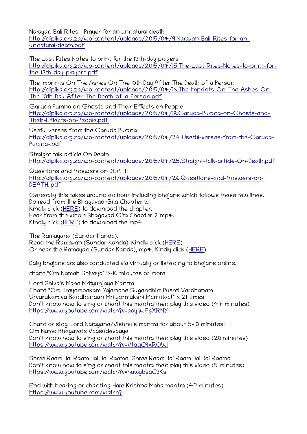Narayan Bali Rites – Prayer for an unnatural death [http://dipika.org.za/wp-content/uploads/2015/04/9.Narayan-Bali-Rites-for-an](http://dipika.org.za/wp-content/uploads/2015/04/9.Narayan-Bali-Rites-for-an-unnatural-death.pdf)[unnatural-death.pdf](http://dipika.org.za/wp-content/uploads/2015/04/9.Narayan-Bali-Rites-for-an-unnatural-death.pdf)

The Last Rites Notes to print for the 13th-day prayers [http://dipika.org.za/wp-content/uploads/2015/04/15.The-Last-Rites-Notes-to-print-for](http://dipika.org.za/wp-content/uploads/2015/04/15.The-Last-Rites-Notes-to-print-for-the-13th-day-prayers.pdf)[the-13th-day-prayers.pdf](http://dipika.org.za/wp-content/uploads/2015/04/15.The-Last-Rites-Notes-to-print-for-the-13th-day-prayers.pdf)

The Imprints On The Ashes On The 10th Day After The Death of a Person [http://dipika.org.za/wp-content/uploads/2015/04/16.The-Imprints-On-The-Ashes-On-](http://dipika.org.za/wp-content/uploads/2015/04/16.The-Imprints-On-The-Ashes-On-The-10th-Day-After-The-Death-of-a-Person.pdf)[The-10th-Day-After-The-Death-of-a-Person.pdf](http://dipika.org.za/wp-content/uploads/2015/04/16.The-Imprints-On-The-Ashes-On-The-10th-Day-After-The-Death-of-a-Person.pdf)

Garuda Purana on Ghosts and Their Effects on People [http://dipika.org.za/wp-content/uploads/2015/04/18.Garuda-Purana-on-Ghosts-and-](http://dipika.org.za/wp-content/uploads/2015/04/18.Garuda-Purana-on-Ghosts-and-Their-Effects-on-People.pdf)[Their-Effects-on-People.pdf](http://dipika.org.za/wp-content/uploads/2015/04/18.Garuda-Purana-on-Ghosts-and-Their-Effects-on-People.pdf)

Useful verses from the Garuda Purana [http://dipika.org.za/wp-content/uploads/2015/04/24.Useful-verses-from-the-Garuda-](http://dipika.org.za/wp-content/uploads/2015/04/24.Useful-verses-from-the-Garuda-Purana-.pdf)[Purana-.pdf](http://dipika.org.za/wp-content/uploads/2015/04/24.Useful-verses-from-the-Garuda-Purana-.pdf)

Straight talk article On Death <http://dipika.org.za/wp-content/uploads/2015/04/25.Straight-talk-article-On-Death.pdf>

Questions and Answers on DEATH. <http://dipika.org.za/wp-content/uploads/2015/04/26.Questions-and-Answers-on->[DEATH..pdf](http://dipika.org.za/wp-content/uploads/2015/04/26.Questions-and-Answers-on-DEATH..pdf)

Generally this takes around an hour including bhajans which follows these few lines. Do read from the Bhagavad Gita Chapter 2. Kindly click ([HERE\)](https://www.google.com/url?sa=t&rct=j&q=&esrc=s&source=web&cd=&ved=2ahUKEwia79zy_9b3AhXUTsAKHTImAbcQFnoECAYQAQ&url=https%3A%2F%2Fbhagavad-gita-as-it-is.org%2Fassets%2Fpdf%2F02-CHAPTER-THE-CONTENTS-OF-THE-GITA-SUMMARIZED.pdf&usg=AOvVaw1r6m0kPLko5y51jV0bIi0Z) to download the chapter. Hear from the whole Bhagavad Gita Chapter 2 mp4. Kindly click ([HERE\)](https://www.youtube.com/watch?v=FC3M7aHICv0) to download the mp4.

The Ramayana (Sundar Kanda).

Read the Ramayan (Sundar Kanda). Kindly click ([HERE\)](http://www.valmikiramayan.net/sundara_kanda_contents.html) Or hear the Ramayan (Sundar Kanda), mp4. Kindly click ([HERE\)](https://www.youtube.com/watch?v=TnE7cTSO-eo)

Daily bhajans are also conducted via virtually or listening to bhajans online.

chant "Om Namah Shivaya" 5-10 minutes or more

Lord Shiva's Maha Mrityunjaya Mantra Chant "Om Trayambakam Yajamahe Sugandhim Pushti Vardhanam Urvarukamiva Bandhanaan Mrityormukshi Mamritaat" x 21 times Don't know how to sing or chant this mantra then play this video (44 minutes) <https://www.youtube.com/watch?v=adyjwFgXRNY>

Chant or sing Lord Narayana/Vishnu's mantra for about 5-10 minutes: Om Namo Bhagavate Vaasudevaaya Don't know how to sing or chant this mantra then play this video (20 minutes) <https://www.youtube.com/watch?v=VtqqC9xROWI>

Shree Raam Jai Raam Jai Jai Raama, Shree Raam Jai Raam Jai Jai Raama Don't know how to sing or chant this mantra then play this video (5 minutes) <https://www.youtube.com/watch?v=huwybsaC3Ks>

End with hearing or chanting Hare Krishna Maha mantra (47 minutes) [https://www.youtube.com/watch?](https://www.youtube.com/watch?v=Zdcth9NndEA)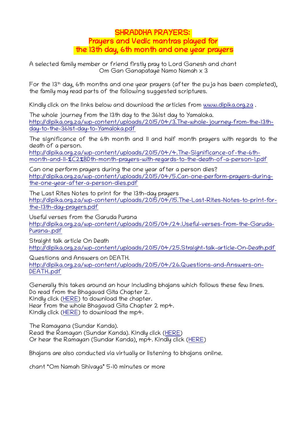### SHRADDHA PRAYERS: Prayers and Vedic mantras played for the 13th day, 6th month and one year prayers

A selected family member or friend firstly pray to Lord Ganesh and chant Om Gan Ganapataye Namo Namah x 3

For the  $13<sup>th</sup>$  day, 6th months and one year prayers (after the puja has been completed), the family may read parts of the following suggested scriptures.

Kindly click on the links below and download the articles from [www.dipika.org.za](http://www.dipika.org.za/) .

The whole journey from the 13th day to the 361st day to Yamaloka. [http://dipika.org.za/wp-content/uploads/2015/04/3.The-whole-journey-from-the-13th](http://dipika.org.za/wp-content/uploads/2015/04/3.The-whole-journey-from-the-13th-day-to-the-361st-day-to-Yamaloka.pdf)[day-to-the-361st-day-to-Yamaloka.pdf](http://dipika.org.za/wp-content/uploads/2015/04/3.The-whole-journey-from-the-13th-day-to-the-361st-day-to-Yamaloka.pdf)

The significance of the 6th month and 11 and half month prayers with regards to the death of a person.

[http://dipika.org.za/wp-content/uploads/2015/04/4.The-Significance-of-the-6th](http://dipika.org.za/wp-content/uploads/2015/04/4.The-Significance-of-the-6th-month-and-11-%C2%BDth-month-prayers-with-regards-to-the-death-of-a-person-1.pdf)[month-and-11-%C2%BDth-month-prayers-with-regards-to-the-death-of-a-person-1.pdf](http://dipika.org.za/wp-content/uploads/2015/04/4.The-Significance-of-the-6th-month-and-11-%C2%BDth-month-prayers-with-regards-to-the-death-of-a-person-1.pdf)

Can one perform prayers during the one year after a person dies? [http://dipika.org.za/wp-content/uploads/2015/04/5.Can-one-perform-prayers-during](http://dipika.org.za/wp-content/uploads/2015/04/5.Can-one-perform-prayers-during-the-one-year-after-a-person-dies.pdf)[the-one-year-after-a-person-dies.pdf](http://dipika.org.za/wp-content/uploads/2015/04/5.Can-one-perform-prayers-during-the-one-year-after-a-person-dies.pdf)

The Last Rites Notes to print for the 13th-day prayers [http://dipika.org.za/wp-content/uploads/2015/04/15.The-Last-Rites-Notes-to-print-for](http://dipika.org.za/wp-content/uploads/2015/04/15.The-Last-Rites-Notes-to-print-for-the-13th-day-prayers.pdf)[the-13th-day-prayers.pdf](http://dipika.org.za/wp-content/uploads/2015/04/15.The-Last-Rites-Notes-to-print-for-the-13th-day-prayers.pdf)

Useful verses from the Garuda Purana [http://dipika.org.za/wp-content/uploads/2015/04/24.Useful-verses-from-the-Garuda-](http://dipika.org.za/wp-content/uploads/2015/04/24.Useful-verses-from-the-Garuda-Purana-.pdf)[Purana-.pdf](http://dipika.org.za/wp-content/uploads/2015/04/24.Useful-verses-from-the-Garuda-Purana-.pdf)

Straight talk article On Death <http://dipika.org.za/wp-content/uploads/2015/04/25.Straight-talk-article-On-Death.pdf>

Questions and Answers on DEATH. <http://dipika.org.za/wp-content/uploads/2015/04/26.Questions-and-Answers-on->[DEATH..pdf](http://dipika.org.za/wp-content/uploads/2015/04/26.Questions-and-Answers-on-DEATH..pdf)

Generally this takes around an hour including bhajans which follows these few lines. Do read from the Bhagavad Gita Chapter 2. Kindly click ([HERE\)](https://www.google.com/url?sa=t&rct=j&q=&esrc=s&source=web&cd=&ved=2ahUKEwia79zy_9b3AhXUTsAKHTImAbcQFnoECAYQAQ&url=https%3A%2F%2Fbhagavad-gita-as-it-is.org%2Fassets%2Fpdf%2F02-CHAPTER-THE-CONTENTS-OF-THE-GITA-SUMMARIZED.pdf&usg=AOvVaw1r6m0kPLko5y51jV0bIi0Z) to download the chapter. Hear from the whole Bhagavad Gita Chapter 2 mp4. Kindly click ([HERE\)](https://www.youtube.com/watch?v=FC3M7aHICv0) to download the mp4.

The Ramayana (Sundar Kanda). Read the Ramayan (Sundar Kanda). Kindly click ([HERE\)](http://www.valmikiramayan.net/sundara_kanda_contents.html) Or hear the Ramayan (Sundar Kanda), mp4. Kindly click ([HERE\)](https://www.youtube.com/watch?v=TnE7cTSO-eo)

Bhajans are also conducted via virtually or listening to bhajans online.

chant "Om Namah Shivaya" 5-10 minutes or more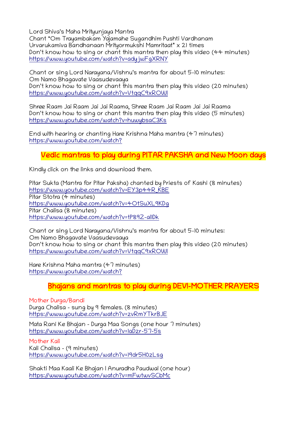Lord Shiva's Maha Mrityunjaya Mantra

Chant "Om Trayambakam Yajamahe Sugandhim Pushti Vardhanam Urvarukamiva Bandhanaan Mrityormukshi Mamritaat" x 21 times Don't know how to sing or chant this mantra then play this video (44 minutes) <https://www.youtube.com/watch?v=adyjwFgXRNY>

Chant or sing Lord Narayana/Vishnu's mantra for about 5-10 minutes: Om Namo Bhagavate Vaasudevaaya Don't know how to sing or chant this mantra then play this video (20 minutes) <https://www.youtube.com/watch?v=VtqqC9xROWI>

Shree Raam Jai Raam Jai Jai Raama, Shree Raam Jai Raam Jai Jai Raama Don't know how to sing or chant this mantra then play this video (5 minutes) <https://www.youtube.com/watch?v=huwybsaC3Ks>

End with hearing or chanting Hare Krishna Maha mantra (47 minutes) [https://www.youtube.com/watch?](https://www.youtube.com/watch?v=Zdcth9NndEA)

### Vedic mantras to play during PITAR PAKSHA and New Moon days

Kindly click on the links and download them.

Pitar Sukta (Mantra for Pitar Paksha) chanted by Priests of Kashi (8 minutes) [https://www.youtube.com/watch?v=EY3p44R\\_KBE](https://www.youtube.com/watch?v=EY3p44R_KBE&fbclid=IwAR1OqD7ZKNiHDgziMFqDdzbrLNJPfYC_-JS5Br01otlK8LsH7MGGyvYORNk) Pitar Stotra (4 minutes) [https://www.youtube.com/watch?v=4OtSuXL9KDg](https://www.youtube.com/watch?v=4OtSuXL9KDg&fbclid=IwAR3AWouEQ-csFZKzWSaMLX118rS_PHhQJAPQVF2qNd8eR-i36GkxZgMCiwk) Pitar Chalisa (8 minutes) [https://www.youtube.com/watch?v=tP89Z-aI1Dk](https://l.facebook.com/l.php?u=https%3A%2F%2Fwww.youtube.com%2Fwatch%3Fv%3DtP89Z-aI1Dk%26fbclid%3DIwAR2OShNGMJmCaPeELLN2_Kd-08HAL48mhVpseJIYIFxRmjz8W_k6lX33tiY&h=AT26HGJKt_3JaJwawX6_qDBLuXELQ6FdwO9QjJwq75HPG37cp13IDxmqf1ES1X_AUTq49RZ35hsGOhWBHGc1D7ouogcNIxJoBy3wasWGp9zR-HfXEagRC6Rm80K4LD-wkToLLc9bZw&__tn__=-UK-R&c[0]=AT2CXlVAb0dYL3yoaf48yeq8GC0G_NYw1g-KIWXZFb2HIpkX7jEkc1Wd-0YllkVoQRldB07B1rfkW_VASy3CGIestuARaOhbfXetmQqHRcCkRAw4PgRRqplSnAxBQXKMzxY-mYyngWadGU6XmsaTiNW-YA)

Chant or sing Lord Narayana/Vishnu's mantra for about 5-10 minutes: Om Namo Bhagavate Vaasudevaaya Don't know how to sing or chant this mantra then play this video (20 minutes) <https://www.youtube.com/watch?v=VtqqC9xROWI>

Hare Krishna Maha mantra (47 minutes) [https://www.youtube.com/watch?](https://www.youtube.com/watch?v=Zdcth9NndEA)

### Bhajans and mantras to play during DEVI-MOTHER PRAYERS

Mother Durga/Bandi Durga Chalisa – sung by 9 females. (8 minutes) <https://www.youtube.com/watch?v=zvRmYTkrBJE>

Mata Rani Ke Bhajan - Durga Maa Songs (one hour 7 minutes) <https://www.youtube.com/watch?v=1aDzr-57-5s>

Mother Kali Kali Chalisa – (9 minutes) <https://www.youtube.com/watch?v=19dr5H0zLsg>

Shakti Maa Kaali Ke Bhajan I Anuradha Paudwal (one hour) <https://www.youtube.com/watch?v=mFwtwvSCbMc>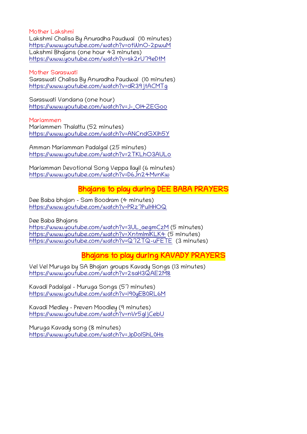Mother Lakshmi

Lakshmi Chalisa By Anuradha Paudwal (10 minutes) <https://www.youtube.com/watch?v=otWnO-2pwuM> Lakshmi Bhajans (one hour 43 minutes) <https://www.youtube.com/watch?v=sk2rU79eDtM>

Mother Saraswati Saraswati Chalisa By Anuradha Paudwal (10 minutes) <https://www.youtube.com/watch?v=dR39jtACMTg>

Saraswati Vandana (one hour) [https://www.youtube.com/watch?v=J-\\_OI4ZEGoo](https://www.youtube.com/watch?v=J-_OI4ZEGoo)

Mariammen Mariammen Thalattu (52 minutes) <https://www.youtube.com/watch?v=ANCndGXih5Y>

Amman Mariamman Padalgal (25 minutes) <https://www.youtube.com/watch?v=2TKLhO3AULo>

Mariamman Devotional Song Veppa Ilayil (6 minutes) <https://www.youtube.com/watch?v=D6Jn24MvnKw>

### Bhajans to play during DEE BABA PRAYERS

Dee Baba bhajan – Sam Boodram (4 minutes) <https://www.youtube.com/watch?v=PRz7PuiHHOQ>

Dee Baba Bhajans [https://www.youtube.com/watch?v=3UL\\_aegmCzM](https://www.youtube.com/watch?v=3UL_aegmCzM) (5 minutes) <https://www.youtube.com/watch?v=XntmImlKLK4> (5 minutes) <https://www.youtube.com/watch?v=Q7ZTQ-uFETE> (3 minutes)

# Bhajans to play during KAVADY PRAYERS

Vel Vel Muruga by SA Bhajan groups Kavady Songs (13 minutes) <https://www.youtube.com/watch?v=2saH3QAE2M8>

Kavadi Padalgal - Muruga Songs (57 minutes) <https://www.youtube.com/watch?v=i90yEB0RL6M>

Kavadi Medley – Preven Moodley (9 minutes) <https://www.youtube.com/watch?v=nVr5gljCebU>

Muruga Kavady song (8 minutes) <https://www.youtube.com/watch?v=JpDolShL0Hs>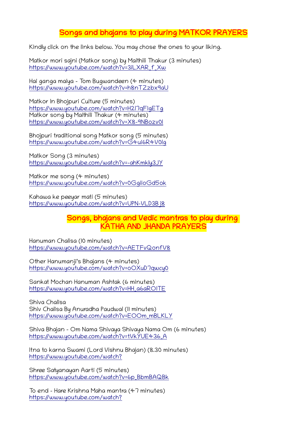# Songs and bhajans to play during MATKOR PRAYER

Kindly click on the links below. You may chose the ones to your liking.

Matkor mori sajni (Matkor song) by Maithili Thakur (3 minutes) [https://www.youtube.com/watch?v=3iLXAR\\_f\\_Xw](https://www.youtube.com/watch?v=3iLXAR_f_Xw)

Hai ganga maiya - Tom Bugwandeen (4 minutes) <https://www.youtube.com/watch?v=h8nTZzbx9aU>

Matkor In Bhojpuri Culture (5 minutes) <https://www.youtube.com/watch?v=H2I7qF1gETg> Matkor song by Maithili Thakur (4 minutes) <https://www.youtube.com/watch?v=X8-9NBozv0I>

Bhojpuri traditional song Matkor song (5 minutes) <https://www.youtube.com/watch?v=G4ui6R4V0lg>

Matkor Song (3 minutes) <https://www.youtube.com/watch?v=-ahKmkly3JY>

Matkor me song (4 minutes) <https://www.youtube.com/watch?v=0GgiioGd5ok>

Kahawa ke peeyar mati (5 minutes) <https://www.youtube.com/watch?v=UPN-VLD3Bj8>

### Songs, bhajans and Vedic mantras to play during KATHA AND JHANDA PRAYERS

Hanuman Chalisa (10 minutes) <https://www.youtube.com/watch?v=AETFvQonfV8>

Other Hanumanji's Bhajans (4 minutes) <https://www.youtube.com/watch?v=oOXuD7qwcy0>

Sankat Mochan Hanuman Ashtak (6 minutes) [https://www.youtube.com/watch?v=HH\\_a6aRO1TE](https://www.youtube.com/watch?v=HH_a6aRO1TE)

Shiva Chalisa Shiv Chalisa By Anuradha Paudwal (11 minutes) [https://www.youtube.com/watch?v=EOOm\\_mBLKLY](https://www.youtube.com/watch?v=EOOm_mBLKLY)

Shiva Bhajan - Om Nama Shivaya Shivaya Nama Om (6 minutes) [https://www.youtube.com/watch?v=tVkYUE436\\_A](https://www.youtube.com/watch?v=tVkYUE436_A)

Itna to karna Swami (Lord Vishnu Bhajan) (8.30 minutes) [https://www.youtube.com/watch?](https://www.youtube.com/watch?v=trfTABdsOQk&list=PLJ5SPhmnOWIjS7U7vF8rf_q_2v3FM4mto&index=7)

Shree Satyanayan Aarti (5 minutes) [https://www.youtube.com/watch?v=6p\\_BbmBAQBk](https://www.youtube.com/watch?v=6p_BbmBAQBk)

To end - Hare Krishna Maha mantra (47 minutes) [https://www.youtube.com/watch?](https://www.youtube.com/watch?v=Zdcth9NndEA)